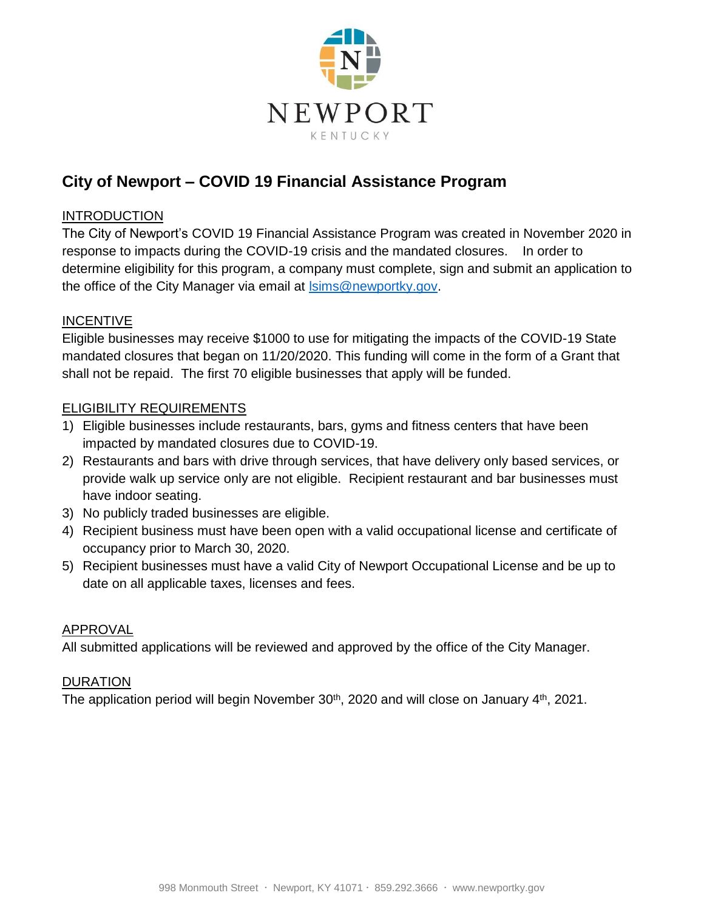

# **City of Newport – COVID 19 Financial Assistance Program**

## INTRODUCTION

The City of Newport's COVID 19 Financial Assistance Program was created in November 2020 in response to impacts during the COVID-19 crisis and the mandated closures. In order to determine eligibility for this program, a company must complete, sign and submit an application to the office of the City Manager via email at [lsims@newportky.gov.](mailto:lsims@newportky.gov)

### INCENTIVE

Eligible businesses may receive \$1000 to use for mitigating the impacts of the COVID-19 State mandated closures that began on 11/20/2020. This funding will come in the form of a Grant that shall not be repaid. The first 70 eligible businesses that apply will be funded.

### ELIGIBILITY REQUIREMENTS

- 1) Eligible businesses include restaurants, bars, gyms and fitness centers that have been impacted by mandated closures due to COVID-19.
- 2) Restaurants and bars with drive through services, that have delivery only based services, or provide walk up service only are not eligible. Recipient restaurant and bar businesses must have indoor seating.
- 3) No publicly traded businesses are eligible.
- 4) Recipient business must have been open with a valid occupational license and certificate of occupancy prior to March 30, 2020.
- 5) Recipient businesses must have a valid City of Newport Occupational License and be up to date on all applicable taxes, licenses and fees.

#### APPROVAL

All submitted applications will be reviewed and approved by the office of the City Manager.

#### DURATION

The application period will begin November 30<sup>th</sup>, 2020 and will close on January 4<sup>th</sup>, 2021.